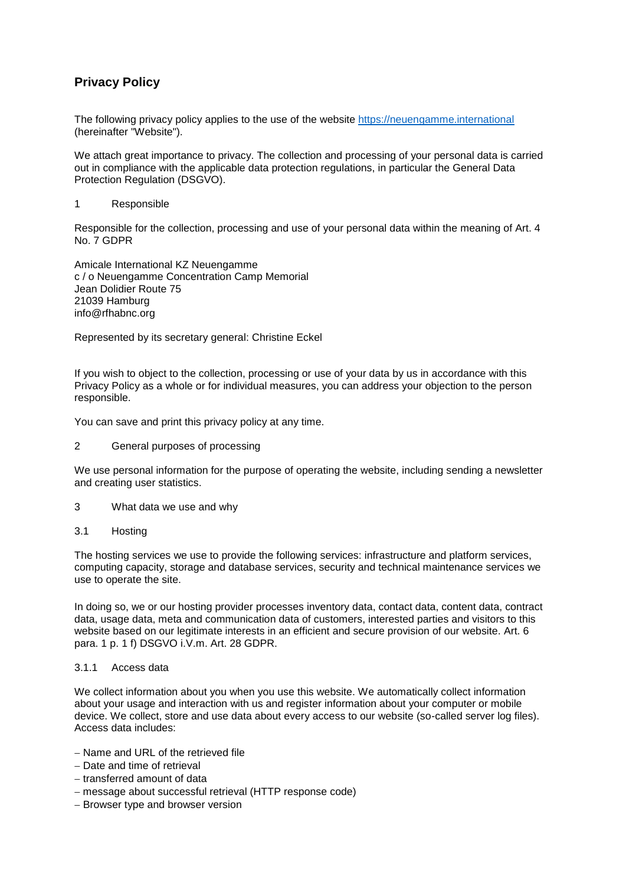# **Privacy Policy**

The following privacy policy applies to the use of the website [https://neuengamme.international](https://neuengamme.international/) (hereinafter "Website").

We attach great importance to privacy. The collection and processing of your personal data is carried out in compliance with the applicable data protection regulations, in particular the General Data Protection Regulation (DSGVO).

#### 1 Responsible

Responsible for the collection, processing and use of your personal data within the meaning of Art. 4 No. 7 GDPR

Amicale International KZ Neuengamme c / o Neuengamme Concentration Camp Memorial Jean Dolidier Route 75 21039 Hamburg info@rfhabnc.org

Represented by its secretary general: Christine Eckel

If you wish to object to the collection, processing or use of your data by us in accordance with this Privacy Policy as a whole or for individual measures, you can address your objection to the person responsible.

You can save and print this privacy policy at any time.

2 General purposes of processing

We use personal information for the purpose of operating the website, including sending a newsletter and creating user statistics.

- 3 What data we use and why
- 3.1 Hosting

The hosting services we use to provide the following services: infrastructure and platform services, computing capacity, storage and database services, security and technical maintenance services we use to operate the site.

In doing so, we or our hosting provider processes inventory data, contact data, content data, contract data, usage data, meta and communication data of customers, interested parties and visitors to this website based on our legitimate interests in an efficient and secure provision of our website. Art. 6 para. 1 p. 1 f) DSGVO i.V.m. Art. 28 GDPR.

#### 3.1.1 Access data

We collect information about you when you use this website. We automatically collect information about your usage and interaction with us and register information about your computer or mobile device. We collect, store and use data about every access to our website (so-called server log files). Access data includes:

- − Name and URL of the retrieved file
- − Date and time of retrieval
- − transferred amount of data
- − message about successful retrieval (HTTP response code)
- − Browser type and browser version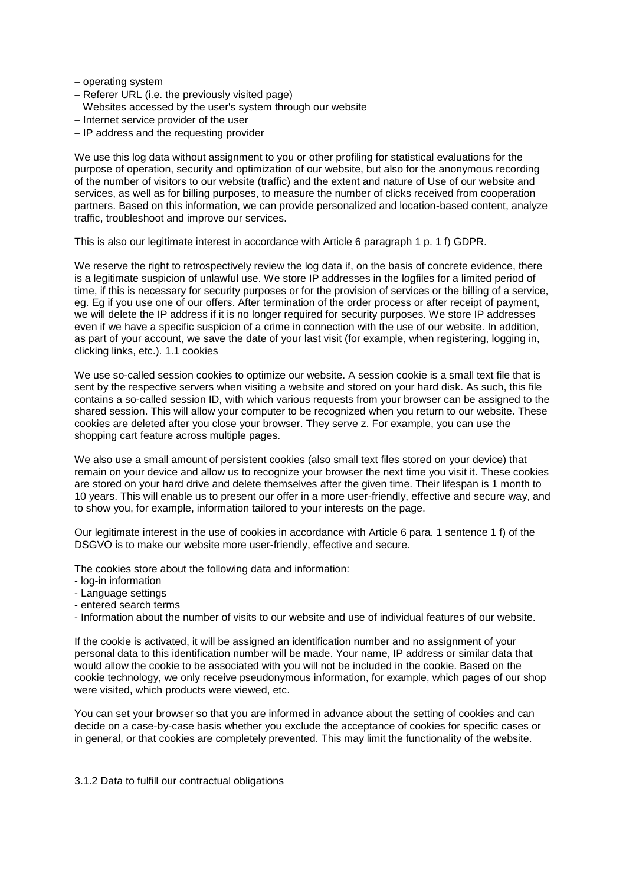− operating system

- − Referer URL (i.e. the previously visited page)
- − Websites accessed by the user's system through our website
- − Internet service provider of the user
- − IP address and the requesting provider

We use this log data without assignment to you or other profiling for statistical evaluations for the purpose of operation, security and optimization of our website, but also for the anonymous recording of the number of visitors to our website (traffic) and the extent and nature of Use of our website and services, as well as for billing purposes, to measure the number of clicks received from cooperation partners. Based on this information, we can provide personalized and location-based content, analyze traffic, troubleshoot and improve our services.

This is also our legitimate interest in accordance with Article 6 paragraph 1 p. 1 f) GDPR.

We reserve the right to retrospectively review the log data if, on the basis of concrete evidence, there is a legitimate suspicion of unlawful use. We store IP addresses in the logfiles for a limited period of time, if this is necessary for security purposes or for the provision of services or the billing of a service, eg. Eg if you use one of our offers. After termination of the order process or after receipt of payment, we will delete the IP address if it is no longer required for security purposes. We store IP addresses even if we have a specific suspicion of a crime in connection with the use of our website. In addition, as part of your account, we save the date of your last visit (for example, when registering, logging in, clicking links, etc.). 1.1 cookies

We use so-called session cookies to optimize our website. A session cookie is a small text file that is sent by the respective servers when visiting a website and stored on your hard disk. As such, this file contains a so-called session ID, with which various requests from your browser can be assigned to the shared session. This will allow your computer to be recognized when you return to our website. These cookies are deleted after you close your browser. They serve z. For example, you can use the shopping cart feature across multiple pages.

We also use a small amount of persistent cookies (also small text files stored on your device) that remain on your device and allow us to recognize your browser the next time you visit it. These cookies are stored on your hard drive and delete themselves after the given time. Their lifespan is 1 month to 10 years. This will enable us to present our offer in a more user-friendly, effective and secure way, and to show you, for example, information tailored to your interests on the page.

Our legitimate interest in the use of cookies in accordance with Article 6 para. 1 sentence 1 f) of the DSGVO is to make our website more user-friendly, effective and secure.

The cookies store about the following data and information:

- log-in information
- Language settings
- entered search terms
- Information about the number of visits to our website and use of individual features of our website.

If the cookie is activated, it will be assigned an identification number and no assignment of your personal data to this identification number will be made. Your name, IP address or similar data that would allow the cookie to be associated with you will not be included in the cookie. Based on the cookie technology, we only receive pseudonymous information, for example, which pages of our shop were visited, which products were viewed, etc.

You can set your browser so that you are informed in advance about the setting of cookies and can decide on a case-by-case basis whether you exclude the acceptance of cookies for specific cases or in general, or that cookies are completely prevented. This may limit the functionality of the website.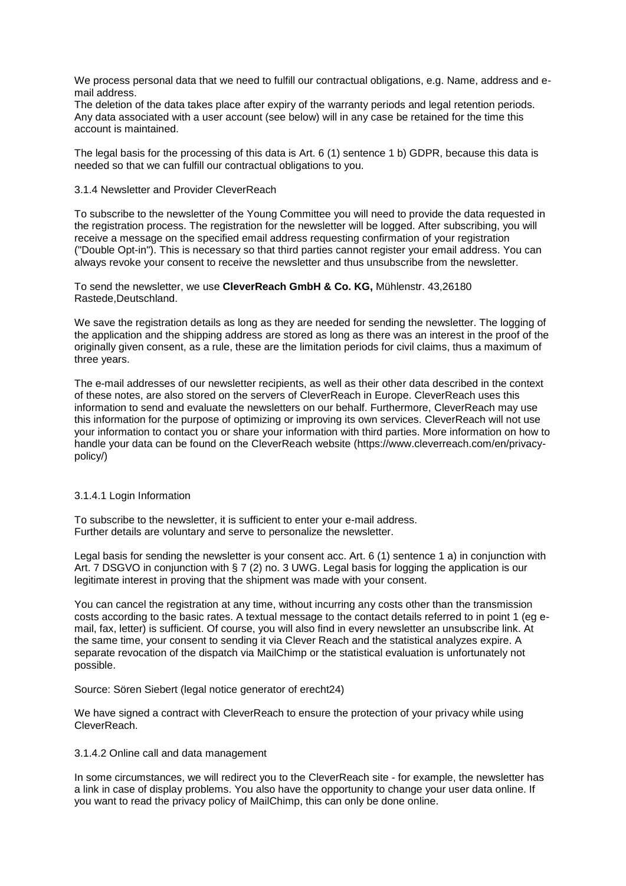We process personal data that we need to fulfill our contractual obligations, e.g. Name, address and email address.

The deletion of the data takes place after expiry of the warranty periods and legal retention periods. Any data associated with a user account (see below) will in any case be retained for the time this account is maintained.

The legal basis for the processing of this data is Art. 6 (1) sentence 1 b) GDPR, because this data is needed so that we can fulfill our contractual obligations to you.

#### 3.1.4 Newsletter and Provider CleverReach

To subscribe to the newsletter of the Young Committee you will need to provide the data requested in the registration process. The registration for the newsletter will be logged. After subscribing, you will receive a message on the specified email address requesting confirmation of your registration ("Double Opt-in"). This is necessary so that third parties cannot register your email address. You can always revoke your consent to receive the newsletter and thus unsubscribe from the newsletter.

To send the newsletter, we use **CleverReach GmbH & Co. KG,** Mühlenstr. 43,26180 Rastede,Deutschland.

We save the registration details as long as they are needed for sending the newsletter. The logging of the application and the shipping address are stored as long as there was an interest in the proof of the originally given consent, as a rule, these are the limitation periods for civil claims, thus a maximum of three years.

The e-mail addresses of our newsletter recipients, as well as their other data described in the context of these notes, are also stored on the servers of CleverReach in Europe. CleverReach uses this information to send and evaluate the newsletters on our behalf. Furthermore, CleverReach may use this information for the purpose of optimizing or improving its own services. CleverReach will not use your information to contact you or share your information with third parties. More information on how to handle your data can be found on the CleverReach website (https://www.cleverreach.com/en/privacypolicy/)

#### 3.1.4.1 Login Information

To subscribe to the newsletter, it is sufficient to enter your e-mail address. Further details are voluntary and serve to personalize the newsletter.

Legal basis for sending the newsletter is your consent acc. Art. 6 (1) sentence 1 a) in conjunction with Art. 7 DSGVO in conjunction with § 7 (2) no. 3 UWG. Legal basis for logging the application is our legitimate interest in proving that the shipment was made with your consent.

You can cancel the registration at any time, without incurring any costs other than the transmission costs according to the basic rates. A textual message to the contact details referred to in point 1 (eg email, fax, letter) is sufficient. Of course, you will also find in every newsletter an unsubscribe link. At the same time, your consent to sending it via Clever Reach and the statistical analyzes expire. A separate revocation of the dispatch via MailChimp or the statistical evaluation is unfortunately not possible.

Source: Sören Siebert (legal notice generator of erecht24)

We have signed a contract with CleverReach to ensure the protection of your privacy while using CleverReach.

#### 3.1.4.2 Online call and data management

In some circumstances, we will redirect you to the CleverReach site - for example, the newsletter has a link in case of display problems. You also have the opportunity to change your user data online. If you want to read the privacy policy of MailChimp, this can only be done online.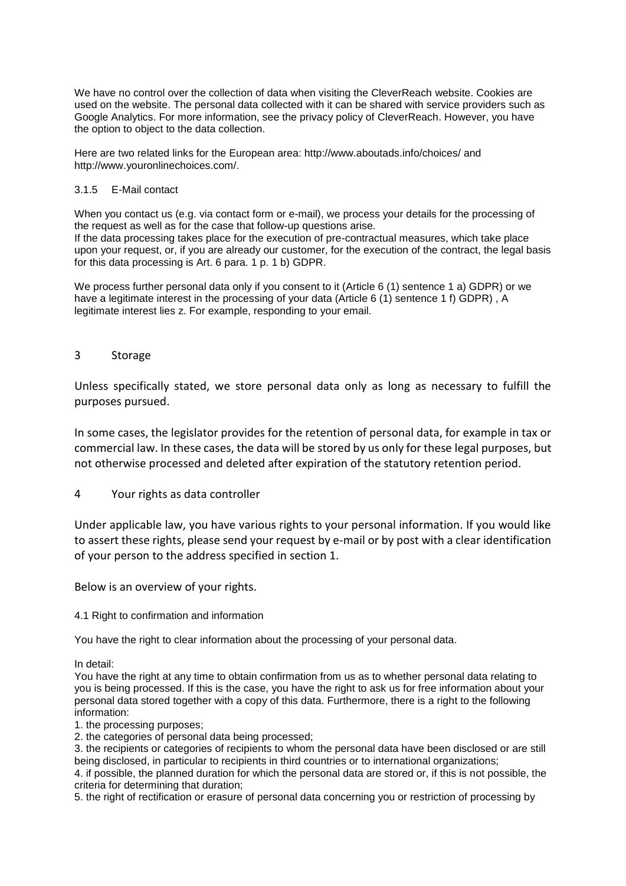We have no control over the collection of data when visiting the CleverReach website. Cookies are used on the website. The personal data collected with it can be shared with service providers such as Google Analytics. For more information, see the privacy policy of CleverReach. However, you have the option to object to the data collection.

Here are two related links for the European area: http://www.aboutads.info/choices/ and http://www.youronlinechoices.com/.

#### 3.1.5 E-Mail contact

When you contact us (e.g. via contact form or e-mail), we process your details for the processing of the request as well as for the case that follow-up questions arise. If the data processing takes place for the execution of pre-contractual measures, which take place upon your request, or, if you are already our customer, for the execution of the contract, the legal basis for this data processing is Art. 6 para. 1 p. 1 b) GDPR.

We process further personal data only if you consent to it (Article 6 (1) sentence 1 a) GDPR) or we have a legitimate interest in the processing of your data (Article 6 (1) sentence 1 f) GDPR), A legitimate interest lies z. For example, responding to your email.

## 3 Storage

Unless specifically stated, we store personal data only as long as necessary to fulfill the purposes pursued.

In some cases, the legislator provides for the retention of personal data, for example in tax or commercial law. In these cases, the data will be stored by us only for these legal purposes, but not otherwise processed and deleted after expiration of the statutory retention period.

## 4 Your rights as data controller

Under applicable law, you have various rights to your personal information. If you would like to assert these rights, please send your request by e-mail or by post with a clear identification of your person to the address specified in section 1.

Below is an overview of your rights.

4.1 Right to confirmation and information

You have the right to clear information about the processing of your personal data.

In detail:

You have the right at any time to obtain confirmation from us as to whether personal data relating to you is being processed. If this is the case, you have the right to ask us for free information about your personal data stored together with a copy of this data. Furthermore, there is a right to the following information:

1. the processing purposes;

2. the categories of personal data being processed;

3. the recipients or categories of recipients to whom the personal data have been disclosed or are still being disclosed, in particular to recipients in third countries or to international organizations;

4. if possible, the planned duration for which the personal data are stored or, if this is not possible, the criteria for determining that duration;

5. the right of rectification or erasure of personal data concerning you or restriction of processing by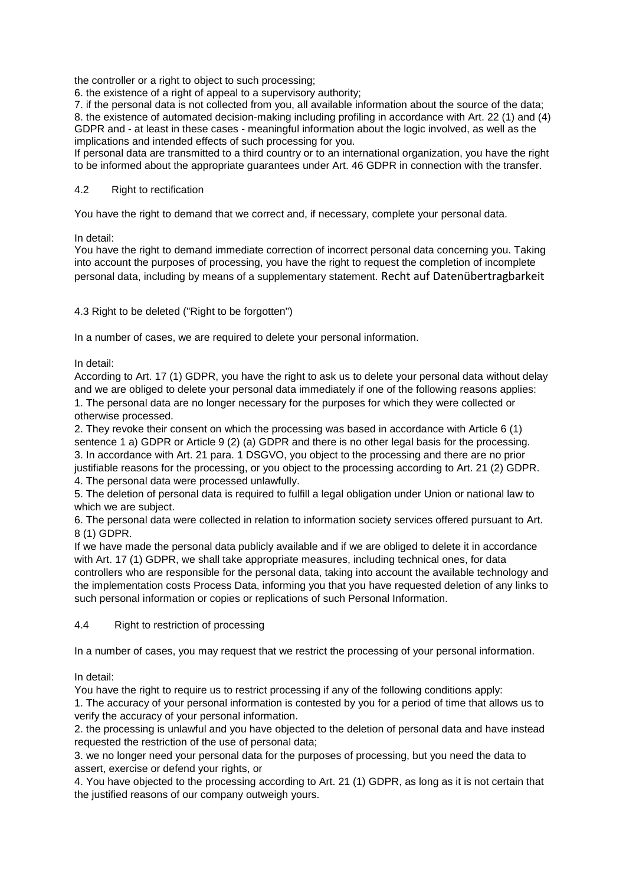the controller or a right to object to such processing;

6. the existence of a right of appeal to a supervisory authority;

7. if the personal data is not collected from you, all available information about the source of the data; 8. the existence of automated decision-making including profiling in accordance with Art. 22 (1) and (4) GDPR and - at least in these cases - meaningful information about the logic involved, as well as the implications and intended effects of such processing for you.

If personal data are transmitted to a third country or to an international organization, you have the right to be informed about the appropriate guarantees under Art. 46 GDPR in connection with the transfer.

## 4.2 Right to rectification

You have the right to demand that we correct and, if necessary, complete your personal data.

In detail:

You have the right to demand immediate correction of incorrect personal data concerning you. Taking into account the purposes of processing, you have the right to request the completion of incomplete personal data, including by means of a supplementary statement. Recht auf Datenübertragbarkeit

## 4.3 Right to be deleted ("Right to be forgotten")

In a number of cases, we are required to delete your personal information.

In detail:

According to Art. 17 (1) GDPR, you have the right to ask us to delete your personal data without delay and we are obliged to delete your personal data immediately if one of the following reasons applies: 1. The personal data are no longer necessary for the purposes for which they were collected or otherwise processed.

2. They revoke their consent on which the processing was based in accordance with Article 6 (1) sentence 1 a) GDPR or Article 9 (2) (a) GDPR and there is no other legal basis for the processing. 3. In accordance with Art. 21 para. 1 DSGVO, you object to the processing and there are no prior justifiable reasons for the processing, or you object to the processing according to Art. 21 (2) GDPR. 4. The personal data were processed unlawfully.

5. The deletion of personal data is required to fulfill a legal obligation under Union or national law to which we are subject.

6. The personal data were collected in relation to information society services offered pursuant to Art. 8 (1) GDPR.

If we have made the personal data publicly available and if we are obliged to delete it in accordance with Art. 17 (1) GDPR, we shall take appropriate measures, including technical ones, for data controllers who are responsible for the personal data, taking into account the available technology and the implementation costs Process Data, informing you that you have requested deletion of any links to such personal information or copies or replications of such Personal Information.

4.4 Right to restriction of processing

In a number of cases, you may request that we restrict the processing of your personal information.

In detail:

You have the right to require us to restrict processing if any of the following conditions apply:

1. The accuracy of your personal information is contested by you for a period of time that allows us to verify the accuracy of your personal information.

2. the processing is unlawful and you have objected to the deletion of personal data and have instead requested the restriction of the use of personal data;

3. we no longer need your personal data for the purposes of processing, but you need the data to assert, exercise or defend your rights, or

4. You have objected to the processing according to Art. 21 (1) GDPR, as long as it is not certain that the justified reasons of our company outweigh yours.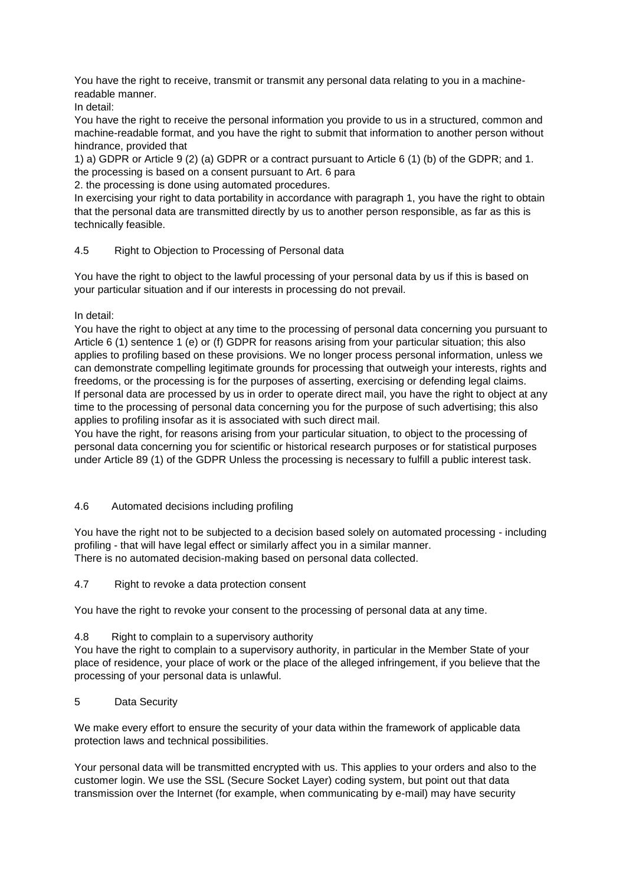You have the right to receive, transmit or transmit any personal data relating to you in a machinereadable manner.

In detail:

You have the right to receive the personal information you provide to us in a structured, common and machine-readable format, and you have the right to submit that information to another person without hindrance, provided that

1) a) GDPR or Article 9 (2) (a) GDPR or a contract pursuant to Article 6 (1) (b) of the GDPR; and 1. the processing is based on a consent pursuant to Art. 6 para

2. the processing is done using automated procedures.

In exercising your right to data portability in accordance with paragraph 1, you have the right to obtain that the personal data are transmitted directly by us to another person responsible, as far as this is technically feasible.

## 4.5 Right to Objection to Processing of Personal data

You have the right to object to the lawful processing of your personal data by us if this is based on your particular situation and if our interests in processing do not prevail.

In detail:

You have the right to object at any time to the processing of personal data concerning you pursuant to Article 6 (1) sentence 1 (e) or (f) GDPR for reasons arising from your particular situation; this also applies to profiling based on these provisions. We no longer process personal information, unless we can demonstrate compelling legitimate grounds for processing that outweigh your interests, rights and freedoms, or the processing is for the purposes of asserting, exercising or defending legal claims. If personal data are processed by us in order to operate direct mail, you have the right to object at any time to the processing of personal data concerning you for the purpose of such advertising; this also applies to profiling insofar as it is associated with such direct mail.

You have the right, for reasons arising from your particular situation, to object to the processing of personal data concerning you for scientific or historical research purposes or for statistical purposes under Article 89 (1) of the GDPR Unless the processing is necessary to fulfill a public interest task.

## 4.6 Automated decisions including profiling

You have the right not to be subjected to a decision based solely on automated processing - including profiling - that will have legal effect or similarly affect you in a similar manner. There is no automated decision-making based on personal data collected.

4.7 Right to revoke a data protection consent

You have the right to revoke your consent to the processing of personal data at any time.

## 4.8 Right to complain to a supervisory authority

You have the right to complain to a supervisory authority, in particular in the Member State of your place of residence, your place of work or the place of the alleged infringement, if you believe that the processing of your personal data is unlawful.

## 5 Data Security

We make every effort to ensure the security of your data within the framework of applicable data protection laws and technical possibilities.

Your personal data will be transmitted encrypted with us. This applies to your orders and also to the customer login. We use the SSL (Secure Socket Layer) coding system, but point out that data transmission over the Internet (for example, when communicating by e-mail) may have security